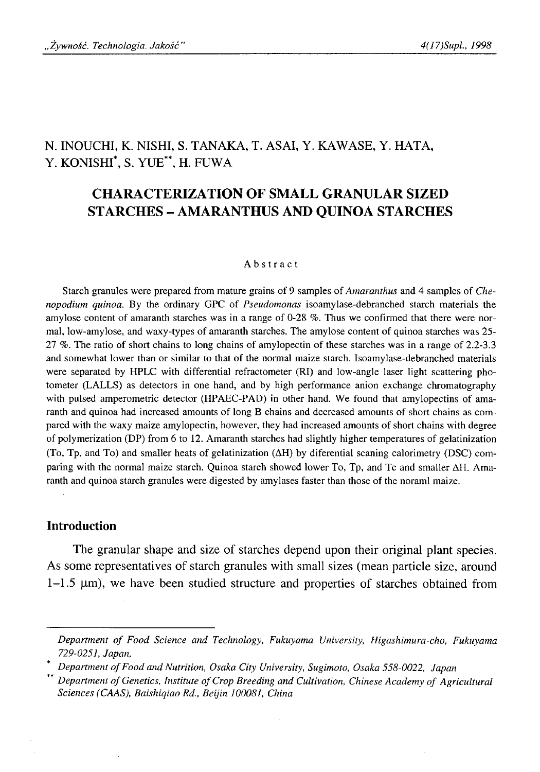# N. INOUCHI, K. NISHI, S. TANAKA, T. ASAI, Y. KAWASE, Y. HATA, Y. KONISHI\*, S. YUE\*\*, H. FUWA

# **CHARACTERIZATION OF SMALL GRANULAR SIZED STARCHES - AMARANTHUS AND QUINOA STARCHES**

#### Abstract

Starch granules were prepared from mature grains of 9 samples of *Amaranthus* and 4 samples of *Chenopodium quinoa.* By the ordinary GPC of *Pseudomonas* isoamylase-debranched starch materials the amylose content of amaranth starches was in a range of 0-28 %. Thus we confirmed that there were normal, low-amylose, and waxy-types of amaranth starches. The amylose content of quinoa starches was 25- 27 %. The ratio of short chains to long chains of amylopectin of these starches was in a range of 2.2-3.3 and somewhat lower than or similar to that of the normal maize starch. Isoamylase-debranched materials were separated by HPLC with differential refractometer (RI) and low-angle laser light scattering photometer (LALLS) as detectors in one hand, and by high performance anion exchange chromatography with pulsed amperometric detector (HPAEC-PAD) in other hand. We found that amylopectins of amaranth and quinoa had increased amounts of long B chains and decreased amounts of short chains as compared with the waxy maize amylopectin, however, they had increased amounts of short chains with degree of polymerization (DP) from 6 to 12. Amaranth starches had slightly higher temperatures of gelatinization (To, Tp, and To) and smaller heats of gelatinization (ΔΗ) by diferential scaning calorimetry (DSC) comparing with the normal maize starch. Quinoa starch showed lower To, Tp, and Tc and smaller ΔΗ. Amaranth and quinoa starch granules were digested by amylases faster than those of the norami maize.

### **Introduction**

The granular shape and size of starches depend upon their original plant species. As some representatives of starch granules with small sizes (mean particle size, around 1-1.5 μηι), we have been studied structure and properties of starches obtained from

*Department o f Food Science and Technology, Fukuyama University, Higashimura-cho, Fukuyama 729-0251, Japan,*

Department of Food and Nutrition, Osaka City University, Sugimoto, Osaka 558-0022, Japan

*Department of Genetics, Institute of Crop Breeding and Cultivation, Chinese Academy of Agricultural Sciences (CAAS), Baishiqiao Rd., Beijin 100081, China*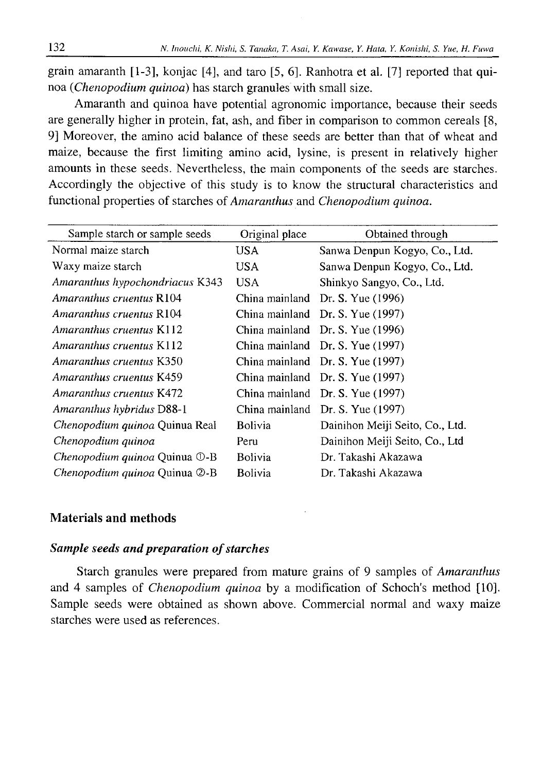grain amaranth [1-3], konjac [4], and taro [5, 6]. Ranhotra et al. [7] reported that quinoa (*Chenopodium quinoa*) has starch granules with small size.

Amaranth and quinoa have potential agronomic importance, because their seeds are generally higher in protein, fat, ash, and fiber in comparison to common cereals [8, 9] Moreover, the amino acid balance of these seeds are better than that of wheat and maize, because the first limiting amino acid, lysine, is present in relatively higher amounts in these seeds. Nevertheless, the main components of the seeds are starches. Accordingly the objective of this study is to know the structural characteristics and functional properties of starches of *Amaranthus* and *Chenopodium quinoa.*

| Sample starch or sample seeds        | Original place | Obtained through                 |
|--------------------------------------|----------------|----------------------------------|
| Normal maize starch                  | USA.           | Sanwa Denpun Kogyo, Co., Ltd.    |
| Waxy maize starch                    | USA.           | Sanwa Denpun Kogyo, Co., Ltd.    |
| Amaranthus hypochondriacus K343      | <b>USA</b>     | Shinkyo Sangyo, Co., Ltd.        |
| Amaranthus cruentus R104             | China mainland | Dr. S. Yue (1996)                |
| Amaranthus cruentus R104             |                | China mainland Dr. S. Yue (1997) |
| Amaranthus cruentus K112             |                | China mainland Dr. S. Yue (1996) |
| Amaranthus cruentus K112             |                | China mainland Dr. S. Yue (1997) |
| Amaranthus cruentus K350             |                | China mainland Dr. S. Yue (1997) |
| Amaranthus cruentus K459             |                | China mainland Dr. S. Yue (1997) |
| Amaranthus cruentus K472             |                | China mainland Dr. S. Yue (1997) |
| Amaranthus hybridus D88-1            |                | China mainland Dr. S. Yue (1997) |
| Chenopodium quinoa Quinua Real       | <b>Bolivia</b> | Dainihon Meiji Seito, Co., Ltd.  |
| Chenopodium quinoa                   | Peru           | Dainihon Meiji Seito, Co., Ltd   |
| <i>Chenopodium quinoa</i> Quinua ①-B | <b>Bolivia</b> | Dr. Takashi Akazawa              |
| Chenopodium quinoa Quinua 2-B        | <b>Bolivia</b> | Dr. Takashi Akazawa              |

## **Materials and methods**

## *Sample seeds and preparation of starches*

Starch granules were prepared from mature grains of 9 samples of *Amaranthus* and 4 samples of *Chenopodium quinoa* by a modification of Schoch's method [10]. Sample seeds were obtained as shown above. Commercial normal and waxy maize starches were used as references.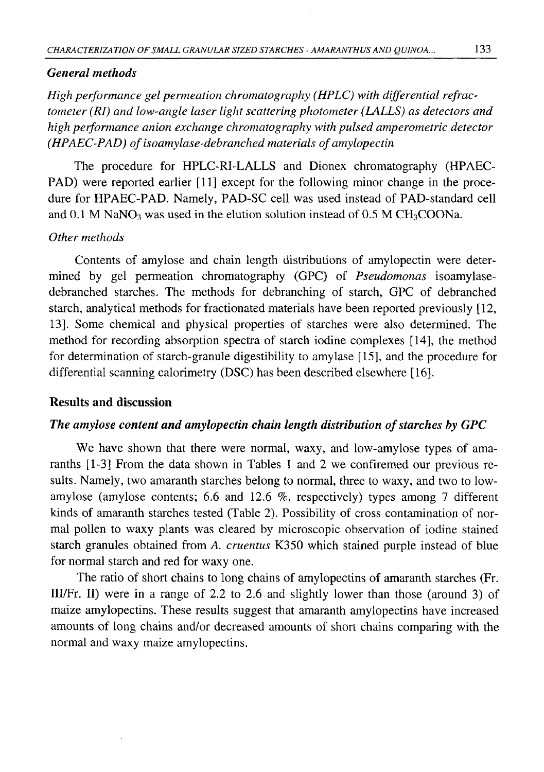### *General methods*

*High performance gel permeation chromatography (HPLC) with differential refractometer (RI) and low-angle laser light scattering photometer (LALLS) as detectors and high performance anion exchange chromatography with pulsed amperometric detector (HPAEC-PAD) of isoamylase-debranched materials of amylopectin* 

The procedure for HPLC-RI-LALLS and Dionex chromatography (HPAEC-PAD) were reported earlier [11] except for the following minor change in the procedure for HPAEC-PAD. Namely, PAD-SC cell was used instead of PAD-standard cell and 0.1 M NaNO<sub>3</sub> was used in the elution solution instead of 0.5 M CH<sub>3</sub>COONa.

## *Other methods*

Contents of amylose and chain length distributions of amylopectin were determined by gel permeation chromatography (GPC) of *Pseudomonas* isoamylasedebranched starches. The methods for debranching of starch, GPC of debranched starch, analytical methods for fractionated materials have been reported previously [12, 13]. Some chemical and physical properties of starches were also determined. The method for recording absorption spectra of starch iodine complexes [14], the method for determination of starch-granule digestibility to amylase [15], and the procedure for differential scanning calorimetry (DSC) has been described elsewhere [16].

## **Results and discussion**

## *The amylose content and amylopectin chain length distribution of starches by GPC*

We have shown that there were normal, waxy, and low-amylose types of amaranths [1-3] From the data shown in Tables 1 and 2 we confiremed our previous results. Namely, two amaranth starches belong to normal, three to waxy, and two to lowamylose (amylose contents; 6.6 and 12.6 %, respectively) types among 7 different kinds of amaranth starches tested (Table 2). Possibility of cross contamination of normal pollen to waxy plants was cleared by microscopic observation of iodine stained starch granules obtained from *A. cruentus* K350 which stained purple instead of blue for normal starch and red for waxy one.

The ratio of short chains to long chains of amylopectins of amaranth starches (Fr. III/Fr. II) were in a range of 2.2 to 2.6 and slightly lower than those (around 3) of maize amylopectins. These results suggest that amaranth amylopectins have increased amounts of long chains and/or decreased amounts of short chains comparing with the normal and waxy maize amylopectins.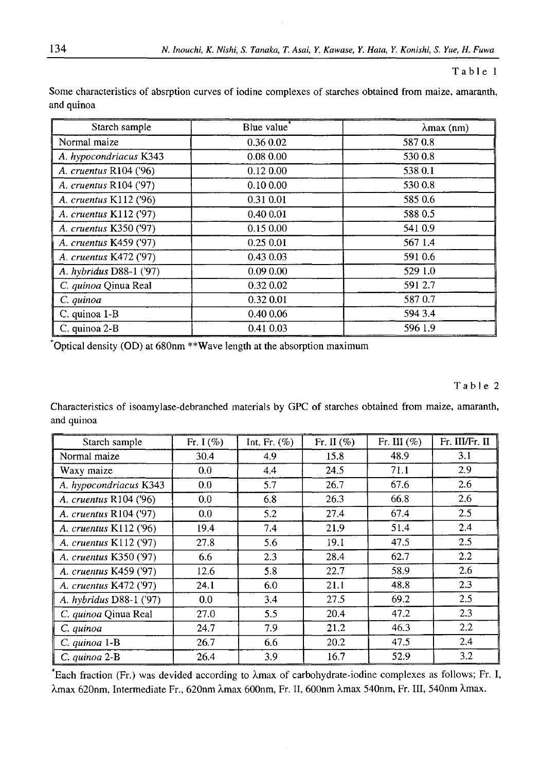### Table 1

Some characteristics of absrption curves of iodine complexes of starches obtained from maize, amaranth, and quinoa

| Starch sample           | Blue value <sup>*</sup> | $\lambda$ max (nm) |
|-------------------------|-------------------------|--------------------|
| Normal maize            | 0.36 0.02               | 5870.8             |
| A. hypocondriacus K343  | 0.08 0.00               | 530 0.8            |
| A. cruentus R104 ('96)  | $0.12\ 0.00$            | 538 0.1            |
| A. cruentus R104 ('97)  | $0.10\,0.00$            | 530 0.8            |
| A. cruentus K112 ('96)  | 0.31 0.01               | 585 0.6            |
| A. cruentus K112 ('97)  | 0.400.01                | 588 0.5            |
| A. cruentus K350 ('97)  | 0.150.00                | 541 0.9            |
| A. cruentus K459 ('97)  | 0.250.01                | 567 1.4            |
| A. cruentus K472 ('97)  | 0.43 0.03               | 591 0.6            |
| A. hybridus D88-1 ('97) | 0.090.00                | 529 1.0            |
| C. quinoa Qinua Real    | 0.32 0.02               | 591 2.7            |
| C. quinoa               | 0.32 0.01               | 587 0.7            |
| C. quinoa 1-B           | 0.40 0.06               | 594 3.4            |
| C. quinoa 2-B           | 0.41 0.03               | 596 1.9            |

Optical density (OD) at 680nm \*\*Wave length at the absorption maximum

#### Table 2

Characteristics of isoamylase-debranched materials by GPC of starches obtained from maize, amaranth, and quinoa

| Starch sample           | Fr. I $(\%)$ | Int. Fr. $(\%)$ | Fr. II $(\% )$ | Fr. III $(\% )$ | Fr. III/Fr. II   |
|-------------------------|--------------|-----------------|----------------|-----------------|------------------|
| Normal maize            | 30.4         | 4.9             | 15.8           | 48.9            | 3.1              |
| Waxy maize              | 0.0          | 4.4             | 24.5           | 71.1            | 2.9              |
| A. hypocondriacus K343  | 0.0          | 5.7             | 26.7           | 67.6            | 2.6              |
| A. cruentus R104 ('96)  | 0.0          | 6.8             | 26.3           | 66.8            | 2.6              |
| A. cruentus R104 ('97)  | 0.0          | 5.2             | 27.4           | 67.4            | 2.5              |
| A. cruentus K112 ('96)  | 19.4         | 7.4             | 21.9           | 51.4            | 2.4              |
| A. cruentus K112 ('97)  | 27.8         | 5.6             | 19.1           | 47.5            | 2.5              |
| A. cruentus K350 ('97)  | 6.6          | 2.3             | 28.4           | 62.7            | $2.2\phantom{0}$ |
| A. cruentus K459 ('97)  | 12.6         | 5.8             | 22.7           | 58.9            | 2.6              |
| A. cruentus K472 ('97)  | 24.1         | 6.0             | 21.1           | 48.8            | 2.3              |
| A. hybridus D88-1 ('97) | 0.0          | 3.4             | 27.5           | 69.2            | 2.5              |
| C. quinoa Qinua Real    | 27.0         | 5.5             | 20.4           | 47.2            | 2.3              |
| C. quinoa               | 24.7         | 7.9             | 21.2           | 46.3            | 2.2              |
| $C.$ quinoa $1-B$       | 26.7         | 6.6             | 20.2           | 47.5            | 2.4              |
| C. quinoa 2-B           | 26.4         | 3.9             | 16.7           | 52.9            | 3.2              |

\*Each fraction (Fr.) was devided according to Xmax of carbohydrate-iodine complexes as follows; Fr. I, Xmax 620nm, Intermediate Fr., 620nm Xmax 600nm, Fr. II, 600nm Xmax 540nm, Fr. Ill, 540nm Amax.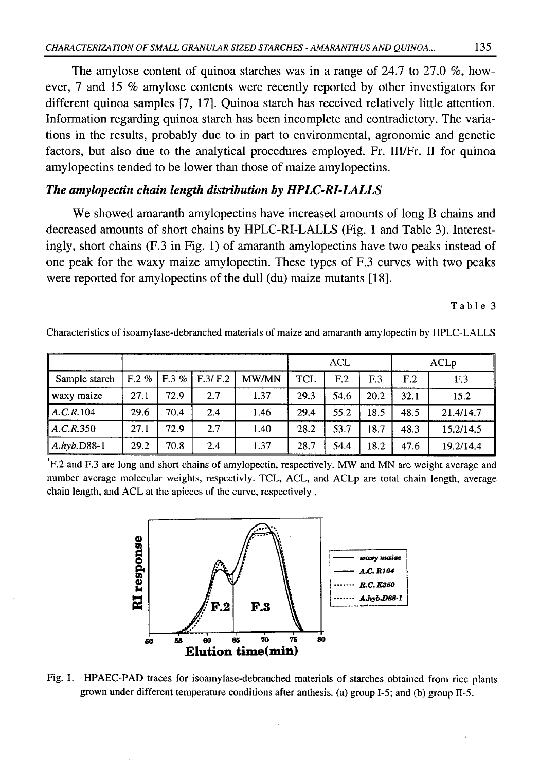The amylose content of quinoa starches was in a range of 24.7 to 27.0 %, however, 7 and 15 % amylose contents were recently reported by other investigators for different quinoa samples [7, 17]. Quinoa starch has received relatively little attention. Information regarding quinoa starch has been incomplete and contradictory. The variations in the results, probably due to in part to environmental, agronomic and genetic factors, but also due to the analytical procedures employed. Fr. III/Fr. II for quinoa amylopectins tended to be lower than those of maize amylopectins.

## *The amylopectin chain length distribution by HPLC-RI-LALLS*

We showed amaranth amylopectins have increased amounts of long B chains and decreased amounts of short chains by HPLC-RI-LALLS (Fig. 1 and Table 3). Interestingly, short chains (F.3 in Fig. 1) of amaranth amylopectins have two peaks instead of one peak for the waxy maize amylopectin. These types of F.3 curves with two peaks were reported for amylopectins of the dull (du) maize mutants [18].

Table 3

Characteristics of isoamylase-debranched materials of maize and amaranth amylopectin by HPLC-LALLS

|                |         |          |         | <b>ACL</b>   |            |                 | ACLp |                 |                 |
|----------------|---------|----------|---------|--------------|------------|-----------------|------|-----------------|-----------------|
| Sample starch  | $F.2\%$ | $F.3 \%$ | F.3/F.2 | <b>MW/MN</b> | <b>TCL</b> | F <sub>12</sub> | F.3  | F <sub>12</sub> | F <sub>.3</sub> |
| ∥ waxy maize   | 27.1    | 72.9     | 2.7     | 1.37         | 29.3       | 54.6            | 20.2 | 32.1            | 15.2            |
| A.C.R.104      | 29.6    | 70.4     | 2.4     | 1.46         | 29.4       | 55.2            | 18.5 | 48.5            | 21.4/14.7       |
| A, C, R, 350   | 27.1    | 72.9     | 2.7     | 1.40         | 28.2       | 53.7            | 18.7 | 48.3            | 15.2/14.5       |
| $ A.hyb.D88-1$ | 29.2    | 70.8     | 2.4     | 1.37         | 28.7       | 54.4            | 18.2 | 47.6            | 19.2/14.4       |

\*F.2 and F.3 are long and short chains of amylopectin, respectively. MW and MN are weight average and number average molecular weights, respectivly. TCL, ACL, and ACLp are total chain length, average chain length, and ACL at the apieces of the curve, respectively .



Fig. 1. HPAEC-PAD traces for isoamylase-debranched materials of starches obtained from rice plants grown under different temperature conditions after anthesis. (a) group 1-5; and (b) group II-5.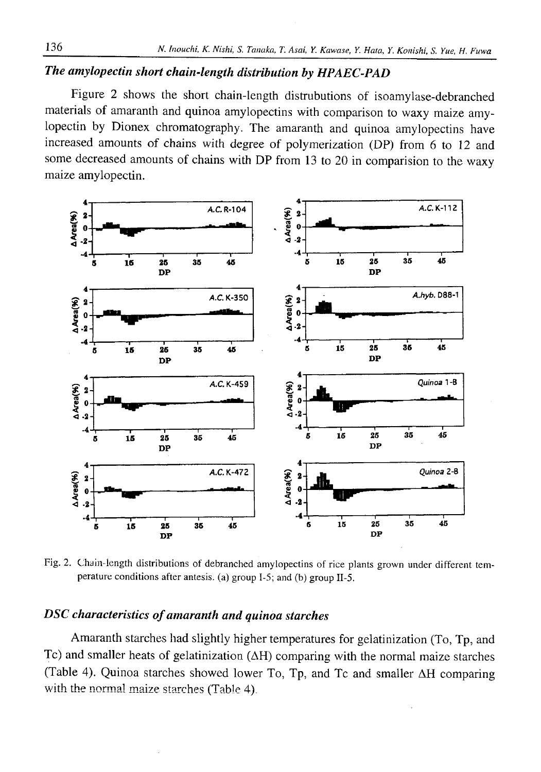# *The amylopectin short chain-length distribution by HPAEC-PAD*

Figure 2 shows the short chain-length distrubutions of isoamylase-debranched materials of amaranth and quinoa amylopectins with comparison to waxy maize amylopectin by Dionex chromatography. The amaranth and quinoa amylopectins have increased amounts of chains with degree of polymerization (DP) from 6 to 12 and some decreased amounts of chains with DP from 13 to 20 in comparision to the waxy maize amylopectin.



Fig. 2. Chain-length distributions of debranched amylopectins of rice plants grown under different temperature conditions after antesis. (a) group 1-5; and (b) group II-5.

# *DSC characteristics of amaranth and quinoa starches*

Amaranth starches had slightly higher temperatures for gelatinization (To, Tp, and Tc) and smaller heats of gelatinization (ΔΗ) comparing with the normal maize starches (Table 4). Quinoa starches showed lower To, Tp, and Tc and smaller ΔΗ comparing with the normal maize starches (Table 4).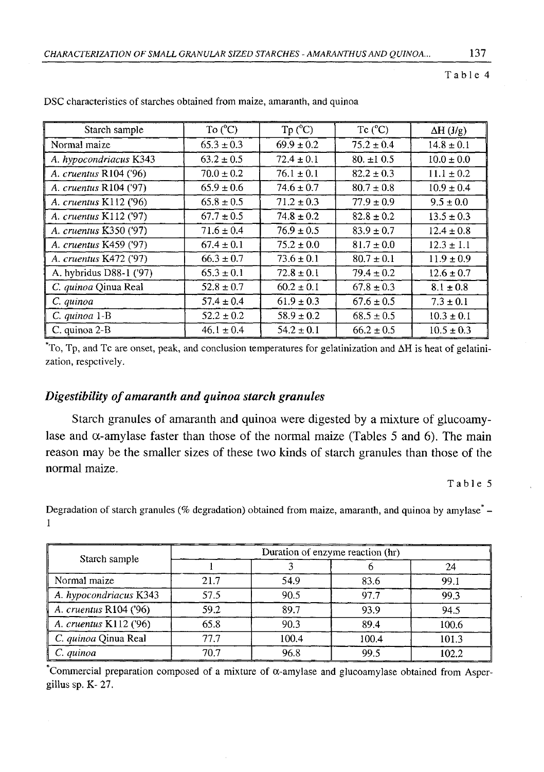Table 4

| Starch sample            | To $(^{\circ}C)$ | $Tp (^{\circ}C)$ | $Tc(^{\circ}C)$ | $\Delta H$ (J/g) |
|--------------------------|------------------|------------------|-----------------|------------------|
| Normal maize             | $65.3 \pm 0.3$   | $69.9 \pm 0.2$   | $75.2 \pm 0.4$  | $14.8 \pm 0.1$   |
| A. hypocondriacus K343   | $63.2 \pm 0.5$   | $72.4 \pm 0.1$   | $80. \pm 10.5$  | $10.0 \pm 0.0$   |
| A. cruentus R104 ('96)   | $70.0 \pm 0.2$   | $76.1 \pm 0.1$   | $82.2 \pm 0.3$  | $11.1 \pm 0.2$   |
| A. cruentus R104 ('97)   | $65.9 \pm 0.6$   | $74.6 \pm 0.7$   | $80.7 \pm 0.8$  | $10.9 \pm 0.4$   |
| A. cruentus K112 ('96)   | $65.8 \pm 0.5$   | $71.2 \pm 0.3$   | $77.9 \pm 0.9$  | $9.5 \pm 0.0$    |
| A. cruentus K112 ('97)   | $67.7 \pm 0.5$   | $74.8 \pm 0.2$   | $82.8 \pm 0.2$  | $13.5 \pm 0.3$   |
| A. cruentus K350 ('97)   | $71.6 \pm 0.4$   | $76.9 \pm 0.5$   | $83.9 \pm 0.7$  | $12.4 \pm 0.8$   |
| A. cruentus K459 ('97)   | $67.4 \pm 0.1$   | $75.2 \pm 0.0$   | $81.7 \pm 0.0$  | $12.3 \pm 1.1$   |
| A. cruentus K472 ('97)   | $66.3 \pm 0.7$   | $73.6 \pm 0.1$   | $80.7 \pm 0.1$  | $11.9 \pm 0.9$   |
| A. hybridus D88-1 ('97)  | $65.3 \pm 0.1$   | $72.8 \pm 0.1$   | $79.4 \pm 0.2$  | $12.6 \pm 0.7$   |
| C. quinoa Qinua Real     | $52.8 \pm 0.7$   | $60.2 \pm 0.1$   | $67.8 \pm 0.3$  | $8.1 \pm 0.8$    |
| C. quinoa                | $57.4 \pm 0.4$   | $61.9 \pm 0.3$   | $67.6 \pm 0.5$  | $7.3 \pm 0.1$    |
| C. quinoa 1-B            | $52.2 \pm 0.2$   | $58.9 \pm 0.2$   | $68.5 \pm 0.5$  | $10.3 \pm 0.1$   |
| $\mathbb C$ . quinoa 2-B | $46.1 \pm 0.4$   | $54.2 \pm 0.1$   | $66.2 \pm 0.5$  | $10.5 \pm 0.3$   |

DSC characteristics of starches obtained from maize, amaranth, and quinoa

To, Tp, and Tc are onset, peak, and conclusion temperatures for gelatinization and  $\Delta H$  is heat of gelatinization, respctively.

## *Digestibility of amaranth and quinoa starch granules*

Starch granules of amaranth and quinoa were digested by a mixture of glucoamylase and  $\alpha$ -amylase faster than those of the normal maize (Tables 5 and 6). The main reason may be the smaller sizes of these two kinds of starch granules than those of the normal maize.

Table 5

Degradation of starch granules (% degradation) obtained from maize, amaranth, and quinoa by amylase<sup>\*</sup> -1

|                        | Duration of enzyme reaction (hr) |       |       |       |  |  |
|------------------------|----------------------------------|-------|-------|-------|--|--|
| Starch sample          |                                  |       |       | 24    |  |  |
| Normal maize           | 21.7                             | 54.9  | 83.6  | 99.1  |  |  |
| A. hypocondriacus K343 | 57.5                             | 90.5  | 97.7  | 99.3  |  |  |
| A. cruentus R104 ('96) | 59.2                             | 89.7  | 93.9  | 94.5  |  |  |
| A. cruentus K112 ('96) | 65.8                             | 90.3  | 89.4  | 100.6 |  |  |
| C. quinoa Oinua Real   | 77.7                             | 100.4 | 100.4 | 101.3 |  |  |
| C. quinoa              | 70.7                             | 96.8  | 99.5  | 102.2 |  |  |

Commercial preparation composed of a mixture of  $\alpha$ -amylase and glucoamylase obtained from Aspergillus sp. K- 27.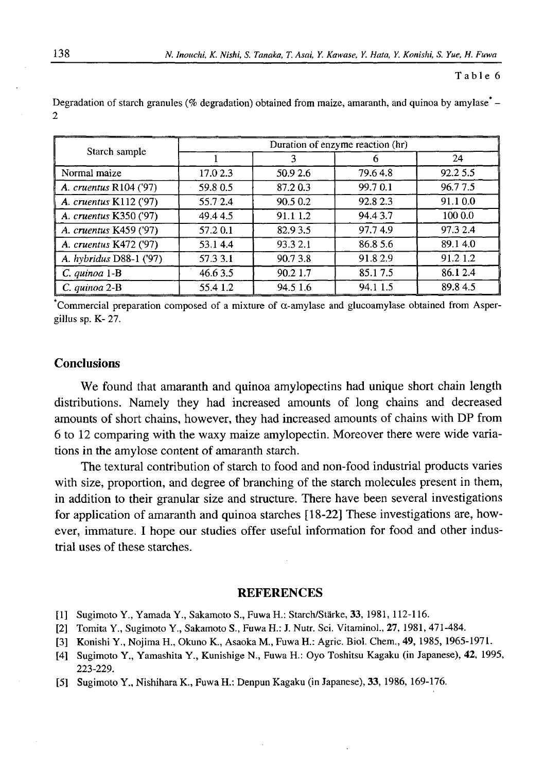#### **Table 6**

|                         | Duration of enzyme reaction (hr) |          |          |          |  |  |
|-------------------------|----------------------------------|----------|----------|----------|--|--|
| Starch sample           |                                  |          |          | 24       |  |  |
| Normal maize            | 17.0 2.3                         | 50.9 2.6 | 79.64.8  | 92.2 5.5 |  |  |
| A. cruentus R104 ('97)  | 59.80.5                          | 87.20.3  | 99.70.1  | 96.77.5  |  |  |
| A. cruentus K112 ('97)  | 55.72.4                          | 90.5 0.2 | 92.8 2.3 | 91.10.0  |  |  |
| A. cruentus K350 ('97)  | 49.44.5                          | 91.1 1.2 | 94.43.7  | 100 0.0  |  |  |
| A. cruentus K459 ('97)  | 57.2 0.1                         | 82.93.5  | 97.74.9  | 97.3 2.4 |  |  |
| A. cruentus K472 ('97)  | 53.14.4                          | 93.3 2.1 | 86.8 5.6 | 89.14.0  |  |  |
| A. hybridus D88-1 ('97) | 57.3 3.1                         | 90.73.8  | 91.82.9  | 91.2 1.2 |  |  |
| $C.$ quinoa $1-B$       | 46.6 3.5                         | 90.2 1.7 | 85.17.5  | 86.1 2.4 |  |  |
| C. autnoa 2-B           | 55.41.2                          | 94.5 1.6 | 94.1 1.5 | 89.84.5  |  |  |

Degradation of starch granules (% degradation) obtained from maize, amaranth, and quinoa by amylase  $\sim$ **2**

Commercial preparation composed of a mixture of  $\alpha$ -amylase and glucoamylase obtained from Aspergillus sp. K- 27.

## **Conclusions**

We found that amaranth and quinoa amylopectins had unique short chain length distributions. Namely they had increased amounts of long chains and decreased amounts of short chains, however, they had increased amounts of chains with DP from 6 to 12 comparing with the waxy maize amylopectin. Moreover there were wide variations in the amylose content of amaranth starch.

The textural contribution of starch to food and non-food industrial products varies with size, proportion, and degree of branching of the starch molecules present in them, in addition to their granular size and structure. There have been several investigations for application of amaranth and quinoa starches [18-22] These investigations are, however, immature. I hope our studies offer useful information for food and other industrial uses of these starches.

### **REFERENCES**

- [1] Sugimoto Y., Yamada Y., Sakamoto S., Fuwa H.: Starch/Stärke, **33,** 1981, 112-116.
- [2] Tomita Y., Sugimoto Y., Sakamoto S., Fuwa H.: J. Nutr. Sci. Vitaminol., 27, 1981, 471-484.
- [3] Konishi Y., Nojima H., Okuno K., Asaoka M., Fuwa H.: Agric. Biol. Chem., **49,** 1985, 1965-1971.
- [4] Sugimoto Y., Yamashita Y., Kunishige N., Fuwa H.: Oyo Toshitsu Kagaku (in Japanese), **42,** 1995, 223-229.
- [5] Sugimoto Y., Nishihara K., Fuwa H.: Denpun Kagaku (in Japanese), **33,** 1986, 169-176.